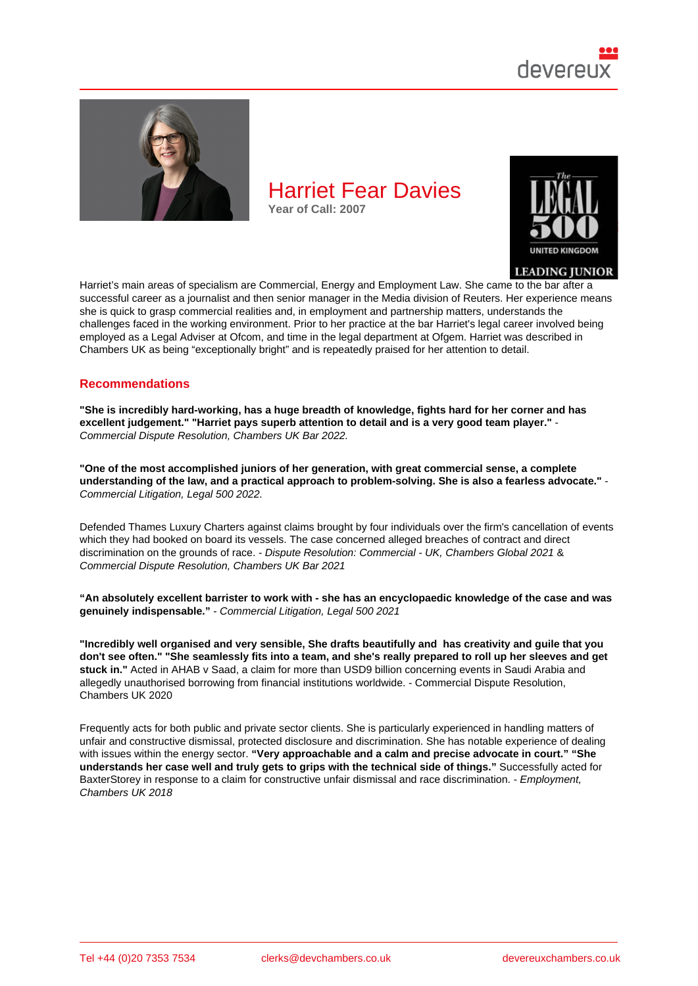# Harriet Fear Davies Year of Call: 2007

Harriet's main areas of specialism are Commercial, Energy and Employment Law. She came to the bar after a successful career as a journalist and then senior manager in the Media division of Reuters. Her experience means she is quick to grasp commercial realities and, in employment and partnership matters, understands the challenges faced in the working environment. Prior to her practice at the bar Harriet's legal career involved being employed as a Legal Adviser at Ofcom, and time in the legal department at Ofgem. Harriet was described in Chambers UK as being "exceptionally bright" and is repeatedly praised for her attention to detail.

### Recommendations

"She is incredibly hard-working, has a huge breadth of knowledge, fights hard for her corner and has excellent judgement." "Harriet pays superb attention to detail and is a very good team player." Commercial Dispute Resolution, Chambers UK Bar 2022.

"One of the most accomplished juniors of her generation, with great commercial sense, a complete understanding of the law, and a practical approach to problem-solving. She is also a fearless advocate." Commercial Litigation, Legal 500 2022.

Defended Thames Luxury Charters against claims brought by four individuals over the firm's cancellation of events which they had booked on board its vessels. The case concerned alleged breaches of contract and direct discrimination on the grounds of race. - Dispute Resolution: Commercial - UK, Chambers Global 2021 & Commercial Dispute Resolution, Chambers UK Bar 2021

"An absolutely excellent barrister to work with - she has an encyclopaedic knowledge of the case and was genuinely indispensable." - Commercial Litigation, Legal 500 2021

"Incredibly well organised and very sensible, She drafts beautifully and has creativity and guile that you don't see often." "She seamlessly fits into a team, and she's really prepared to roll up her sleeves and get stuck in." Acted in AHAB v Saad, a claim for more than USD9 billion concerning events in Saudi Arabia and allegedly unauthorised borrowing from financial institutions worldwide. - Commercial Dispute Resolution, Chambers UK 2020

Frequently acts for both public and private sector clients. She is particularly experienced in handling matters of unfair and constructive dismissal, protected disclosure and discrimination. She has notable experience of dealing with issues within the energy sector. "Very approachable and a calm and precise advocate in court." "She understands her case well and truly gets to grips with the technical side of things." Successfully acted for BaxterStorey in response to a claim for constructive unfair dismissal and race discrimination. - Employment, Chambers UK 2018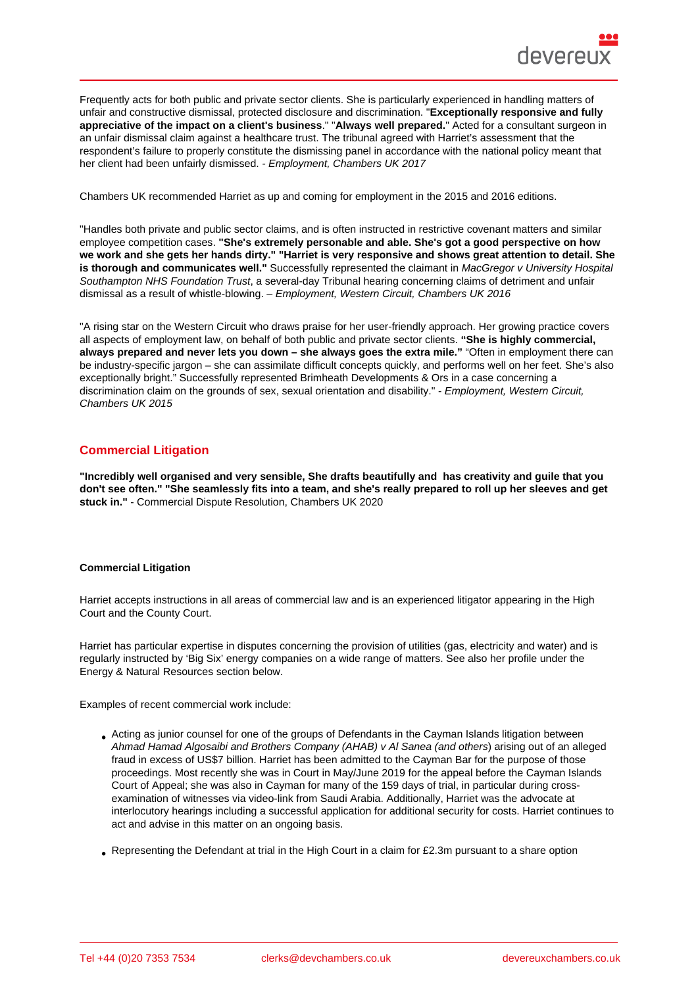Frequently acts for both public and private sector clients. She is particularly experienced in handling matters of unfair and constructive dismissal, protected disclosure and discrimination. "Exceptionally responsive and fully appreciative of the impact on a client's business ." "Always well prepared. " Acted for a consultant surgeon in an unfair dismissal claim against a healthcare trust. The tribunal agreed with Harriet's assessment that the respondent's failure to properly constitute the dismissing panel in accordance with the national policy meant that her client had been unfairly dismissed. - Employment, Chambers UK 2017

Chambers UK recommended Harriet as up and coming for employment in the 2015 and 2016 editions.

"Handles both private and public sector claims, and is often instructed in restrictive covenant matters and similar employee competition cases. "She's extremely personable and able. She's got a good perspective on how we work and she gets her hands dirty." "Harriet is very responsive and shows great attention to detail. She is thorough and communicates well." Successfully represented the claimant in MacGregor v University Hospital Southampton NHS Foundation Trust, a several-day Tribunal hearing concerning claims of detriment and unfair dismissal as a result of whistle-blowing. – Employment, Western Circuit, Chambers UK 2016

"A rising star on the Western Circuit who draws praise for her user-friendly approach. Her growing practice covers all aspects of employment law, on behalf of both public and private sector clients. "She is highly commercial, always prepared and never lets you down – she always goes the extra mile." "Often in employment there can be industry-specific jargon – she can assimilate difficult concepts quickly, and performs well on her feet. She's also exceptionally bright." Successfully represented Brimheath Developments & Ors in a case concerning a discrimination claim on the grounds of sex, sexual orientation and disability." - Employment, Western Circuit, Chambers UK 2015

## Commercial Litigation

"Incredibly well organised and very sensible, She drafts beautifully and has creativity and guile that you don't see often." "She seamlessly fits into a team, and she's really prepared to roll up her sleeves and get stuck in." - Commercial Dispute Resolution, Chambers UK 2020

#### Commercial Litigation

Harriet accepts instructions in all areas of commercial law and is an experienced litigator appearing in the High Court and the County Court.

Harriet has particular expertise in disputes concerning the provision of utilities (gas, electricity and water) and is regularly instructed by 'Big Six' energy companies on a wide range of matters. See also her profile under the Energy & Natural Resources section below.

Examples of recent commercial work include:

- Acting as junior counsel for one of the groups of Defendants in the Cayman Islands litigation between Ahmad Hamad Algosaibi and Brothers Company (AHAB) v Al Sanea (and others) arising out of an alleged fraud in excess of US\$7 billion. Harriet has been admitted to the Cayman Bar for the purpose of those proceedings. Most recently she was in Court in May/June 2019 for the appeal before the Cayman Islands Court of Appeal; she was also in Cayman for many of the 159 days of trial, in particular during crossexamination of witnesses via video-link from Saudi Arabia. Additionally, Harriet was the advocate at interlocutory hearings including a successful application for additional security for costs. Harriet continues to act and advise in this matter on an ongoing basis.
- Representing the Defendant at trial in the High Court in a claim for £2.3m pursuant to a share option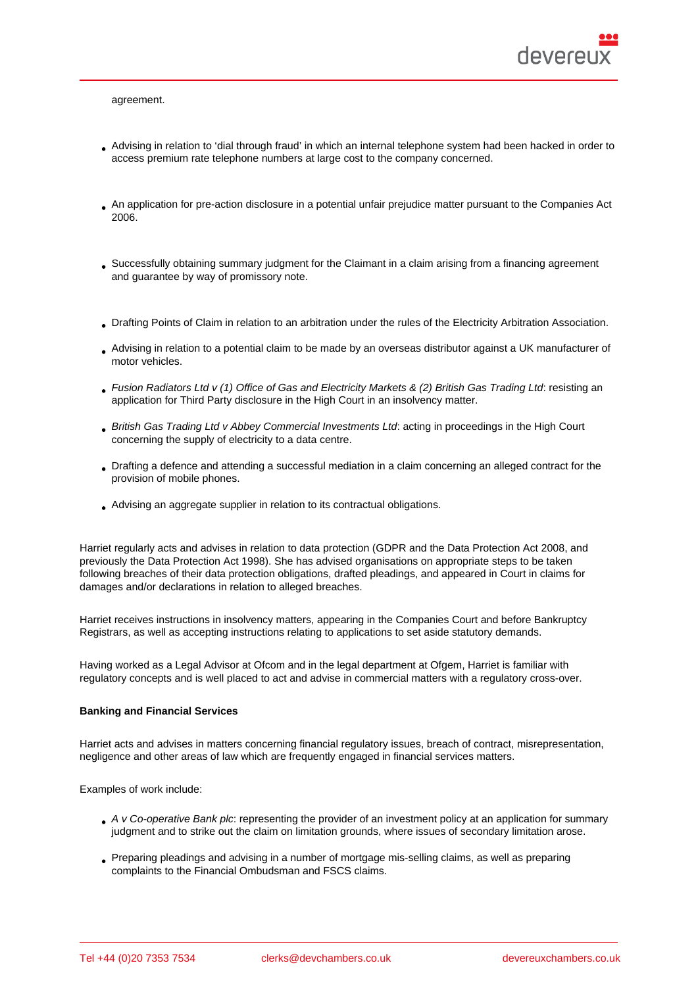- Advising in relation to 'dial through fraud' in which an internal telephone system had been hacked in order to access premium rate telephone numbers at large cost to the company concerned.
- An application for pre-action disclosure in a potential unfair prejudice matter pursuant to the Companies Act 2006.
- Successfully obtaining summary judgment for the Claimant in a claim arising from a financing agreement and guarantee by way of promissory note.
- Drafting Points of Claim in relation to an arbitration under the rules of the Electricity Arbitration Association.
- Advising in relation to a potential claim to be made by an overseas distributor against a UK manufacturer of motor vehicles.
- Fusion Radiators Ltd v (1) Office of Gas and Electricity Markets & (2) British Gas Trading Ltd: resisting an application for Third Party disclosure in the High Court in an insolvency matter.
- British Gas Trading Ltd v Abbey Commercial Investments Ltd: acting in proceedings in the High Court concerning the supply of electricity to a data centre.
- Drafting a defence and attending a successful mediation in a claim concerning an alleged contract for the provision of mobile phones.
- Advising an aggregate supplier in relation to its contractual obligations.

Harriet regularly acts and advises in relation to data protection (GDPR and the Data Protection Act 2008, and previously the Data Protection Act 1998). She has advised organisations on appropriate steps to be taken following breaches of their data protection obligations, drafted pleadings, and appeared in Court in claims for damages and/or declarations in relation to alleged breaches.

Harriet receives instructions in insolvency matters, appearing in the Companies Court and before Bankruptcy Registrars, as well as accepting instructions relating to applications to set aside statutory demands.

Having worked as a Legal Advisor at Ofcom and in the legal department at Ofgem, Harriet is familiar with regulatory concepts and is well placed to act and advise in commercial matters with a regulatory cross-over.

#### Banking and Financial Services

Harriet acts and advises in matters concerning financial regulatory issues, breach of contract, misrepresentation, negligence and other areas of law which are frequently engaged in financial services matters.

#### Examples of work include:

- A v Co-operative Bank plc: representing the provider of an investment policy at an application for summary judgment and to strike out the claim on limitation grounds, where issues of secondary limitation arose.
- Preparing pleadings and advising in a number of mortgage mis-selling claims, as well as preparing complaints to the Financial Ombudsman and FSCS claims.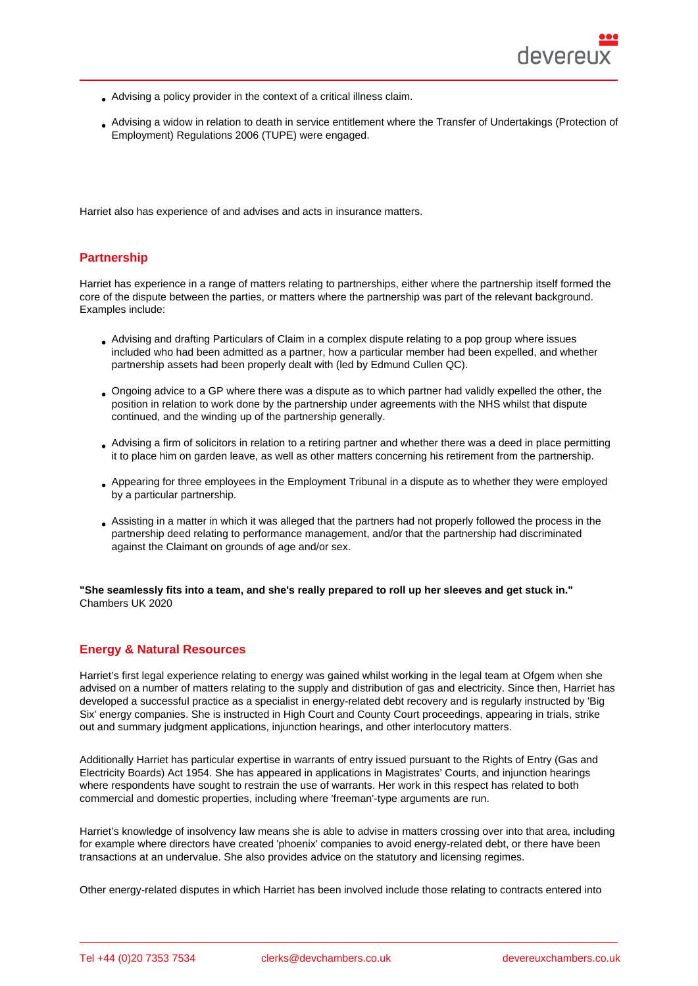- Advising a policy provider in the context of a critical illness claim.
- Advising a widow in relation to death in service entitlement where the Transfer of Undertakings (Protection of Employment) Regulations 2006 (TUPE) were engaged.

Harriet also has experience of and advises and acts in insurance matters.

## **Partnership**

Harriet has experience in a range of matters relating to partnerships, either where the partnership itself formed the core of the dispute between the parties, or matters where the partnership was part of the relevant background. Examples include:

- Advising and drafting Particulars of Claim in a complex dispute relating to a pop group where issues included who had been admitted as a partner, how a particular member had been expelled, and whether partnership assets had been properly dealt with (led by Edmund Cullen QC).
- Ongoing advice to a GP where there was a dispute as to which partner had validly expelled the other, the position in relation to work done by the partnership under agreements with the NHS whilst that dispute continued, and the winding up of the partnership generally.
- Advising a firm of solicitors in relation to a retiring partner and whether there was a deed in place permitting it to place him on garden leave, as well as other matters concerning his retirement from the partnership.
- Appearing for three employees in the Employment Tribunal in a dispute as to whether they were employed by a particular partnership.
- Assisting in a matter in which it was alleged that the partners had not properly followed the process in the partnership deed relating to performance management, and/or that the partnership had discriminated against the Claimant on grounds of age and/or sex.

"She seamlessly fits into a team, and she's really prepared to roll up her sleeves and get stuck in." Chambers UK 2020

### Energy & Natural Resources

Harriet's first legal experience relating to energy was gained whilst working in the legal team at Ofgem when she advised on a number of matters relating to the supply and distribution of gas and electricity. Since then, Harriet has developed a successful practice as a specialist in energy-related debt recovery and is regularly instructed by 'Big Six' energy companies. She is instructed in High Court and County Court proceedings, appearing in trials, strike out and summary judgment applications, injunction hearings, and other interlocutory matters.

Additionally Harriet has particular expertise in warrants of entry issued pursuant to the Rights of Entry (Gas and Electricity Boards) Act 1954. She has appeared in applications in Magistrates' Courts, and injunction hearings where respondents have sought to restrain the use of warrants. Her work in this respect has related to both commercial and domestic properties, including where 'freeman'-type arguments are run.

Harriet's knowledge of insolvency law means she is able to advise in matters crossing over into that area, including for example where directors have created 'phoenix' companies to avoid energy-related debt, or there have been transactions at an undervalue. She also provides advice on the statutory and licensing regimes.

Other energy-related disputes in which Harriet has been involved include those relating to contracts entered into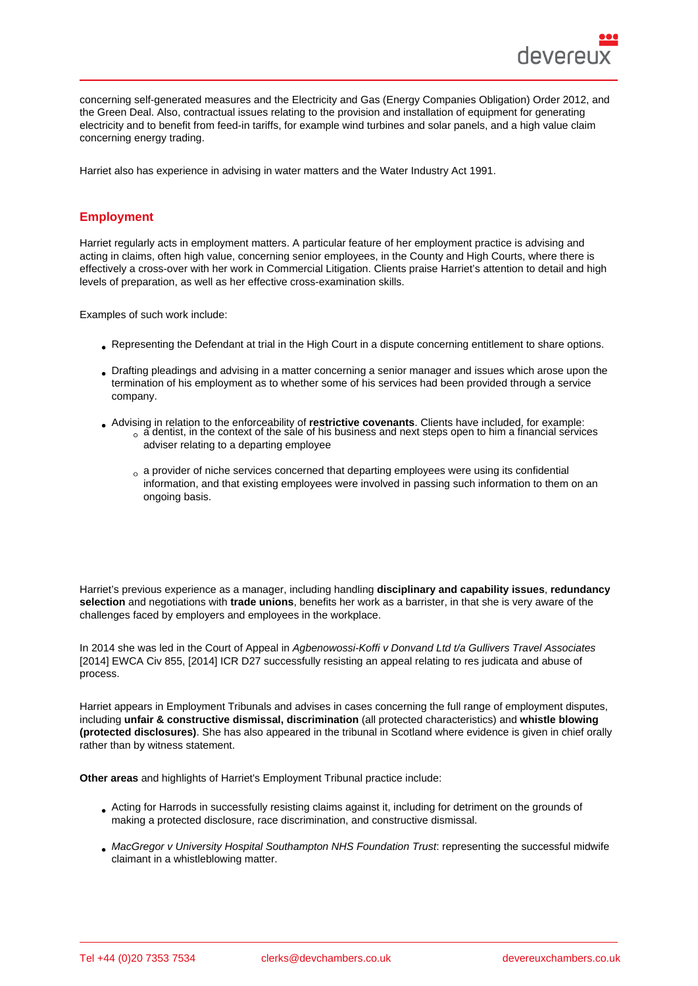concerning self-generated measures and the Electricity and Gas (Energy Companies Obligation) Order 2012, and the Green Deal. Also, contractual issues relating to the provision and installation of equipment for generating electricity and to benefit from feed-in tariffs, for example wind turbines and solar panels, and a high value claim concerning energy trading.

Harriet also has experience in advising in water matters and the Water Industry Act 1991.

# Employment

Harriet regularly acts in employment matters. A particular feature of her employment practice is advising and acting in claims, often high value, concerning senior employees, in the County and High Courts, where there is effectively a cross-over with her work in Commercial Litigation. Clients praise Harriet's attention to detail and high levels of preparation, as well as her effective cross-examination skills.

Examples of such work include:

- Representing the Defendant at trial in the High Court in a dispute concerning entitlement to share options.
- Drafting pleadings and advising in a matter concerning a senior manager and issues which arose upon the termination of his employment as to whether some of his services had been provided through a service company.
- Advising in relation to the enforceability of restrictive covenants . Clients have included, for example:  $\alpha$  a dentist, in the context of the sale of his business and next steps open to him a financial services
	- adviser relating to a departing employee
	- $_{\circ}$  a provider of niche services concerned that departing employees were using its confidential information, and that existing employees were involved in passing such information to them on an ongoing basis.

Harriet's previous experience as a manager, including handling disciplinary and capability issues , redundancy selection and negotiations with trade unions , benefits her work as a barrister, in that she is very aware of the challenges faced by employers and employees in the workplace.

In 2014 she was led in the Court of Appeal in Agbenowossi-Koffi v Donvand Ltd t/a Gullivers Travel Associates [2014] EWCA Civ 855, [2014] ICR D27 successfully resisting an appeal relating to res judicata and abuse of process.

Harriet appears in Employment Tribunals and advises in cases concerning the full range of employment disputes, including unfair & constructive dismissal, discrimination (all protected characteristics) and whistle blowing (protected disclosures) . She has also appeared in the tribunal in Scotland where evidence is given in chief orally rather than by witness statement.

Other areas and highlights of Harriet's Employment Tribunal practice include:

- Acting for Harrods in successfully resisting claims against it, including for detriment on the grounds of making a protected disclosure, race discrimination, and constructive dismissal.
- MacGregor v University Hospital Southampton NHS Foundation Trust: representing the successful midwife claimant in a whistleblowing matter.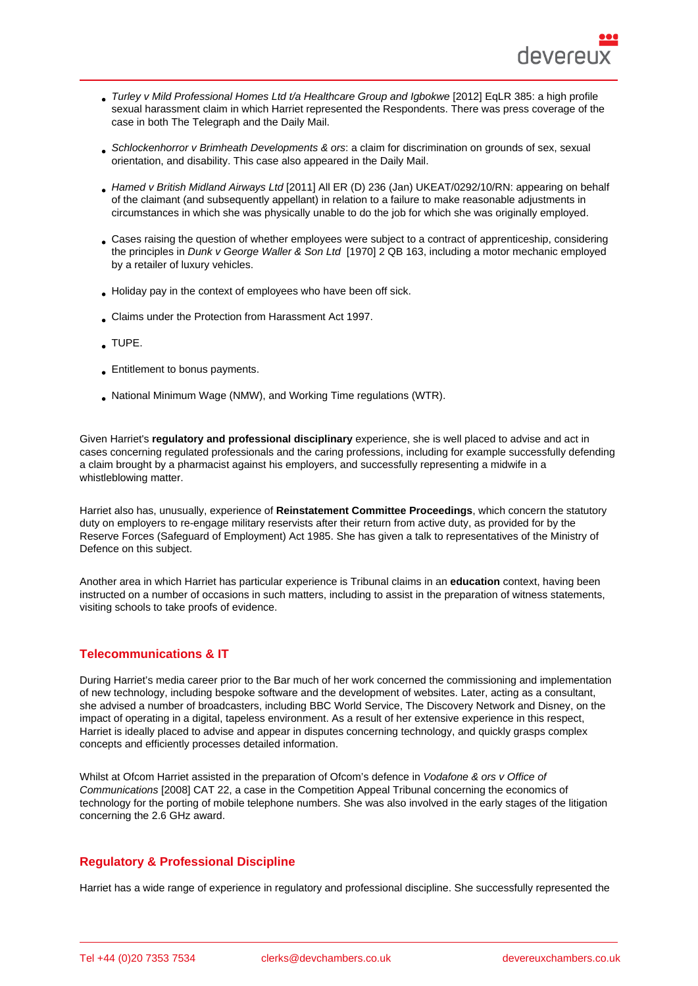- Turley v Mild Professional Homes Ltd t/a Healthcare Group and Igbokwe [2012] EqLR 385: a high profile sexual harassment claim in which Harriet represented the Respondents. There was press coverage of the case in both The Telegraph and the Daily Mail.
- Schlockenhorror v Brimheath Developments & ors: a claim for discrimination on grounds of sex, sexual orientation, and disability. This case also appeared in the Daily Mail.
- Hamed v British Midland Airways Ltd [2011] All ER (D) 236 (Jan) UKEAT/0292/10/RN: appearing on behalf of the claimant (and subsequently appellant) in relation to a failure to make reasonable adjustments in circumstances in which she was physically unable to do the job for which she was originally employed.
- Cases raising the question of whether employees were subject to a contract of apprenticeship, considering the principles in Dunk v George Waller & Son Ltd [1970] 2 QB 163, including a motor mechanic employed by a retailer of luxury vehicles.
- Holiday pay in the context of employees who have been off sick.
- Claims under the Protection from Harassment Act 1997.
- TUPE.
- **Entitlement to bonus payments.**
- National Minimum Wage (NMW), and Working Time regulations (WTR).

Given Harriet's regulatory and professional disciplinary experience, she is well placed to advise and act in cases concerning regulated professionals and the caring professions, including for example successfully defending a claim brought by a pharmacist against his employers, and successfully representing a midwife in a whistleblowing matter.

Harriet also has, unusually, experience of Reinstatement Committee Proceedings , which concern the statutory duty on employers to re-engage military reservists after their return from active duty, as provided for by the Reserve Forces (Safeguard of Employment) Act 1985. She has given a talk to representatives of the Ministry of Defence on this subject.

Another area in which Harriet has particular experience is Tribunal claims in an education context, having been instructed on a number of occasions in such matters, including to assist in the preparation of witness statements, visiting schools to take proofs of evidence.

# Telecommunications & IT

During Harriet's media career prior to the Bar much of her work concerned the commissioning and implementation of new technology, including bespoke software and the development of websites. Later, acting as a consultant, she advised a number of broadcasters, including BBC World Service, The Discovery Network and Disney, on the impact of operating in a digital, tapeless environment. As a result of her extensive experience in this respect, Harriet is ideally placed to advise and appear in disputes concerning technology, and quickly grasps complex concepts and efficiently processes detailed information.

Whilst at Ofcom Harriet assisted in the preparation of Ofcom's defence in Vodafone & ors v Office of Communications [2008] CAT 22, a case in the Competition Appeal Tribunal concerning the economics of technology for the porting of mobile telephone numbers. She was also involved in the early stages of the litigation concerning the 2.6 GHz award.

### Regulatory & Professional Discipline

Harriet has a wide range of experience in regulatory and professional discipline. She successfully represented the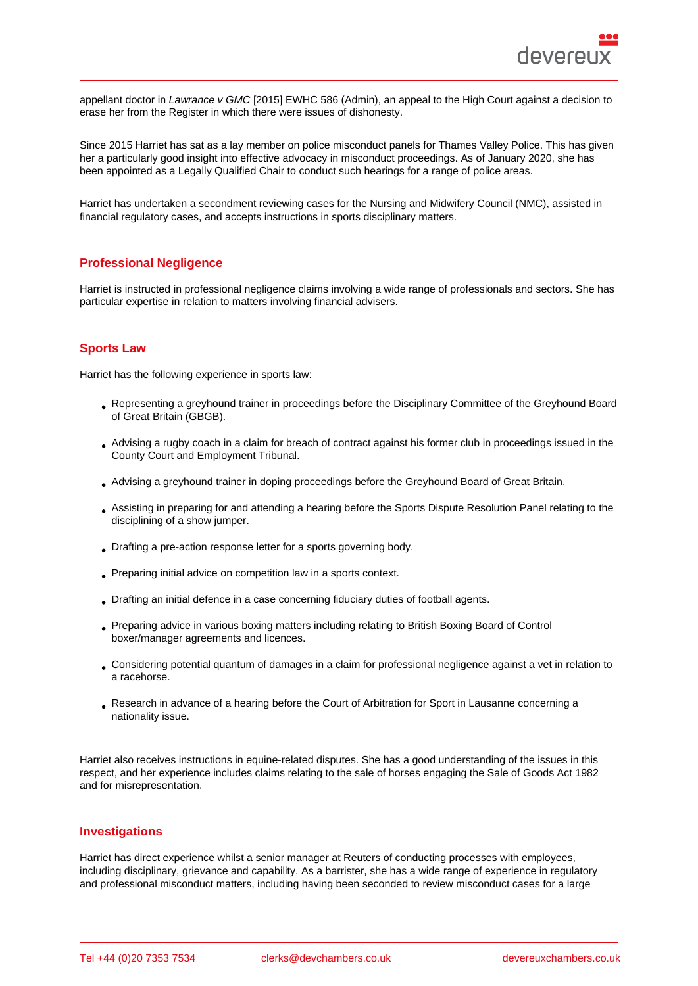appellant doctor in Lawrance v GMC [2015] EWHC 586 (Admin), an appeal to the High Court against a decision to erase her from the Register in which there were issues of dishonesty.

Since 2015 Harriet has sat as a lay member on police misconduct panels for Thames Valley Police. This has given her a particularly good insight into effective advocacy in misconduct proceedings. As of January 2020, she has been appointed as a Legally Qualified Chair to conduct such hearings for a range of police areas.

Harriet has undertaken a secondment reviewing cases for the Nursing and Midwifery Council (NMC), assisted in financial regulatory cases, and accepts instructions in sports disciplinary matters.

#### Professional Negligence

Harriet is instructed in professional negligence claims involving a wide range of professionals and sectors. She has particular expertise in relation to matters involving financial advisers.

#### Sports Law

Harriet has the following experience in sports law:

- Representing a greyhound trainer in proceedings before the Disciplinary Committee of the Greyhound Board of Great Britain (GBGB).
- Advising a rugby coach in a claim for breach of contract against his former club in proceedings issued in the County Court and Employment Tribunal.
- Advising a greyhound trainer in doping proceedings before the Greyhound Board of Great Britain.
- Assisting in preparing for and attending a hearing before the Sports Dispute Resolution Panel relating to the disciplining of a show jumper.
- Drafting a pre-action response letter for a sports governing body.
- Preparing initial advice on competition law in a sports context.
- Drafting an initial defence in a case concerning fiduciary duties of football agents.
- Preparing advice in various boxing matters including relating to British Boxing Board of Control boxer/manager agreements and licences.
- Considering potential quantum of damages in a claim for professional negligence against a vet in relation to a racehorse.
- Research in advance of a hearing before the Court of Arbitration for Sport in Lausanne concerning a nationality issue.

Harriet also receives instructions in equine-related disputes. She has a good understanding of the issues in this respect, and her experience includes claims relating to the sale of horses engaging the Sale of Goods Act 1982 and for misrepresentation.

#### Investigations

Harriet has direct experience whilst a senior manager at Reuters of conducting processes with employees, including disciplinary, grievance and capability. As a barrister, she has a wide range of experience in regulatory and professional misconduct matters, including having been seconded to review misconduct cases for a large